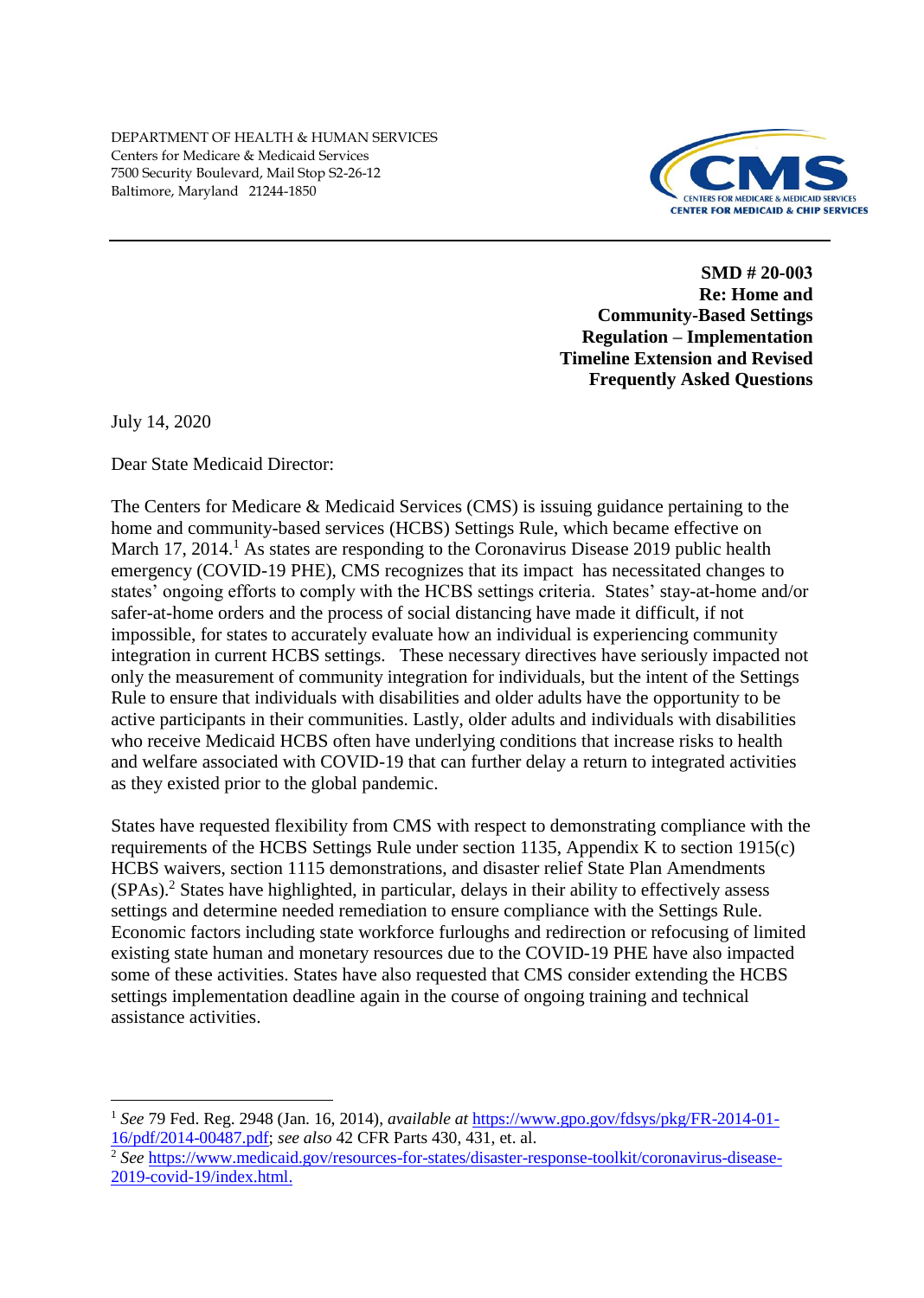

**SMD # 20-003 Re: Home and Community-Based Settings Regulation – Implementation Timeline Extension and Revised Frequently Asked Questions**

July 14, 2020

Dear State Medicaid Director:

The Centers for Medicare & Medicaid Services (CMS) is issuing guidance pertaining to the home and community-based services (HCBS) Settings Rule, which became effective on March 17, 2014.<sup>1</sup> As states are responding to the Coronavirus Disease 2019 public health emergency (COVID-19 PHE), CMS recognizes that its impact has necessitated changes to states' ongoing efforts to comply with the HCBS settings criteria. States' stay-at-home and/or safer-at-home orders and the process of social distancing have made it difficult, if not impossible, for states to accurately evaluate how an individual is experiencing community integration in current HCBS settings. These necessary directives have seriously impacted not only the measurement of community integration for individuals, but the intent of the Settings Rule to ensure that individuals with disabilities and older adults have the opportunity to be active participants in their communities. Lastly, older adults and individuals with disabilities who receive Medicaid HCBS often have underlying conditions that increase risks to health and welfare associated with COVID-19 that can further delay a return to integrated activities as they existed prior to the global pandemic.

States have requested flexibility from CMS with respect to demonstrating compliance with the requirements of the HCBS Settings Rule under section 1135, Appendix K to section 1915(c) HCBS waivers, section 1115 demonstrations, and disaster relief State Plan Amendments (SPAs). <sup>2</sup> States have highlighted, in particular, delays in their ability to effectively assess settings and determine needed remediation to ensure compliance with the Settings Rule. Economic factors including state workforce furloughs and redirection or refocusing of limited existing state human and monetary resources due to the COVID-19 PHE have also impacted some of these activities. States have also requested that CMS consider extending the HCBS settings implementation deadline again in the course of ongoing training and technical assistance activities.

<sup>1</sup> *See* 79 Fed. Reg. 2948 (Jan. 16, 2014), *available at* [https://www.gpo.gov/fdsys/pkg/FR-2014-01-](https://www.gpo.gov/fdsys/pkg/FR-2014-01-16/pdf/2014-00487.pdf) [16/pdf/2014-00487.pdf;](https://www.gpo.gov/fdsys/pkg/FR-2014-01-16/pdf/2014-00487.pdf) *see also* 42 CFR Parts 430, 431, et. al.

<sup>&</sup>lt;sup>2</sup> See [https://www.medicaid.gov/resources-for-states/disaster-response-toolkit/coronavirus-disease-](https://www.medicaid.gov/resources-for-states/disaster-response-toolkit/coronavirus-disease-2019-covid-19/index.html)[2019-covid-19/index.html.](https://www.medicaid.gov/resources-for-states/disaster-response-toolkit/coronavirus-disease-2019-covid-19/index.html)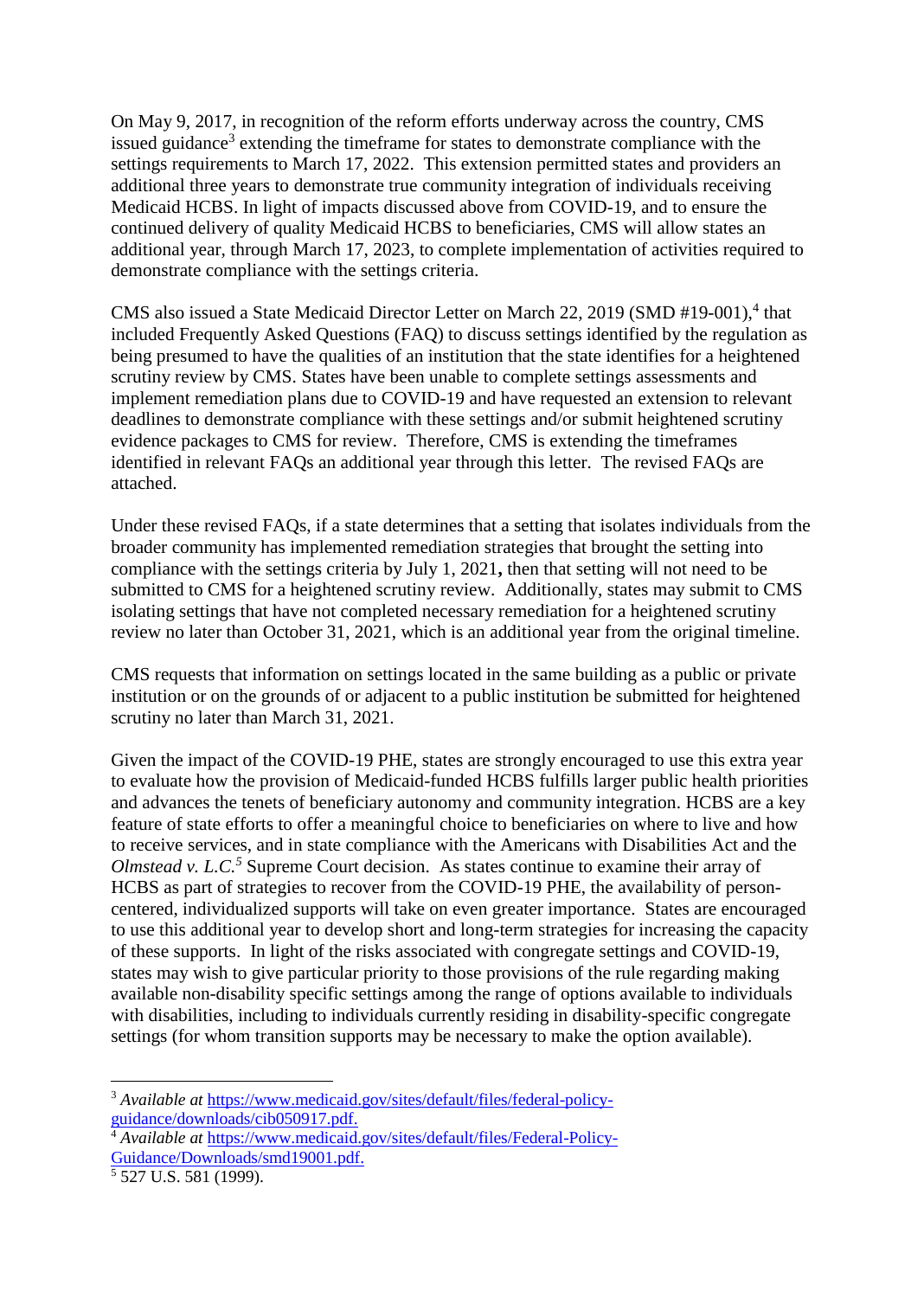On May 9, 2017, in recognition of the reform efforts underway across the country, CMS issued guidance<sup>3</sup> extending the timeframe for states to demonstrate compliance with the settings requirements to March 17, 2022. This extension permitted states and providers an additional three years to demonstrate true community integration of individuals receiving Medicaid HCBS. In light of impacts discussed above from COVID-19, and to ensure the continued delivery of quality Medicaid HCBS to beneficiaries, CMS will allow states an additional year, through March 17, 2023, to complete implementation of activities required to demonstrate compliance with the settings criteria.

CMS also issued a State Medicaid Director Letter on March 22, 2019 (SMD #19-001),<sup>4</sup> that included Frequently Asked Questions (FAQ) to discuss settings identified by the regulation as being presumed to have the qualities of an institution that the state identifies for a heightened scrutiny review by CMS. States have been unable to complete settings assessments and implement remediation plans due to COVID-19 and have requested an extension to relevant deadlines to demonstrate compliance with these settings and/or submit heightened scrutiny evidence packages to CMS for review. Therefore, CMS is extending the timeframes identified in relevant FAQs an additional year through this letter. The revised FAQs are attached.

Under these revised FAQs, if a state determines that a setting that isolates individuals from the broader community has implemented remediation strategies that brought the setting into compliance with the settings criteria by July 1, 2021**,** then that setting will not need to be submitted to CMS for a heightened scrutiny review. Additionally, states may submit to CMS isolating settings that have not completed necessary remediation for a heightened scrutiny review no later than October 31, 2021, which is an additional year from the original timeline.

CMS requests that information on settings located in the same building as a public or private institution or on the grounds of or adjacent to a public institution be submitted for heightened scrutiny no later than March 31, 2021.

Given the impact of the COVID-19 PHE, states are strongly encouraged to use this extra year to evaluate how the provision of Medicaid-funded HCBS fulfills larger public health priorities and advances the tenets of beneficiary autonomy and community integration. HCBS are a key feature of state efforts to offer a meaningful choice to beneficiaries on where to live and how to receive services, and in state compliance with the Americans with Disabilities Act and the *Olmstead v. L.C.<sup>5</sup>* Supreme Court decision. As states continue to examine their array of HCBS as part of strategies to recover from the COVID-19 PHE, the availability of personcentered, individualized supports will take on even greater importance. States are encouraged to use this additional year to develop short and long-term strategies for increasing the capacity of these supports. In light of the risks associated with congregate settings and COVID-19, states may wish to give particular priority to those provisions of the rule regarding making available non-disability specific settings among the range of options available to individuals with disabilities, including to individuals currently residing in disability-specific congregate settings (for whom transition supports may be necessary to make the option available).

<u>.</u>

<sup>3</sup> *Available at* [https://www.medicaid.gov/sites/default/files/federal-policy](https://www.medicaid.gov/sites/default/files/federal-policy-guidance/downloads/cib050917.pdf)[guidance/downloads/cib050917.pdf.](https://www.medicaid.gov/sites/default/files/federal-policy-guidance/downloads/cib050917.pdf)

<sup>4</sup> *Available at* [https://www.medicaid.gov/sites/default/files/Federal-Policy-](https://www.medicaid.gov/sites/default/files/Federal-Policy-Guidance/Downloads/smd19001.pdf)[Guidance/Downloads/smd19001.pdf.](https://www.medicaid.gov/sites/default/files/Federal-Policy-Guidance/Downloads/smd19001.pdf)

<sup>5</sup> 527 U.S. 581 (1999).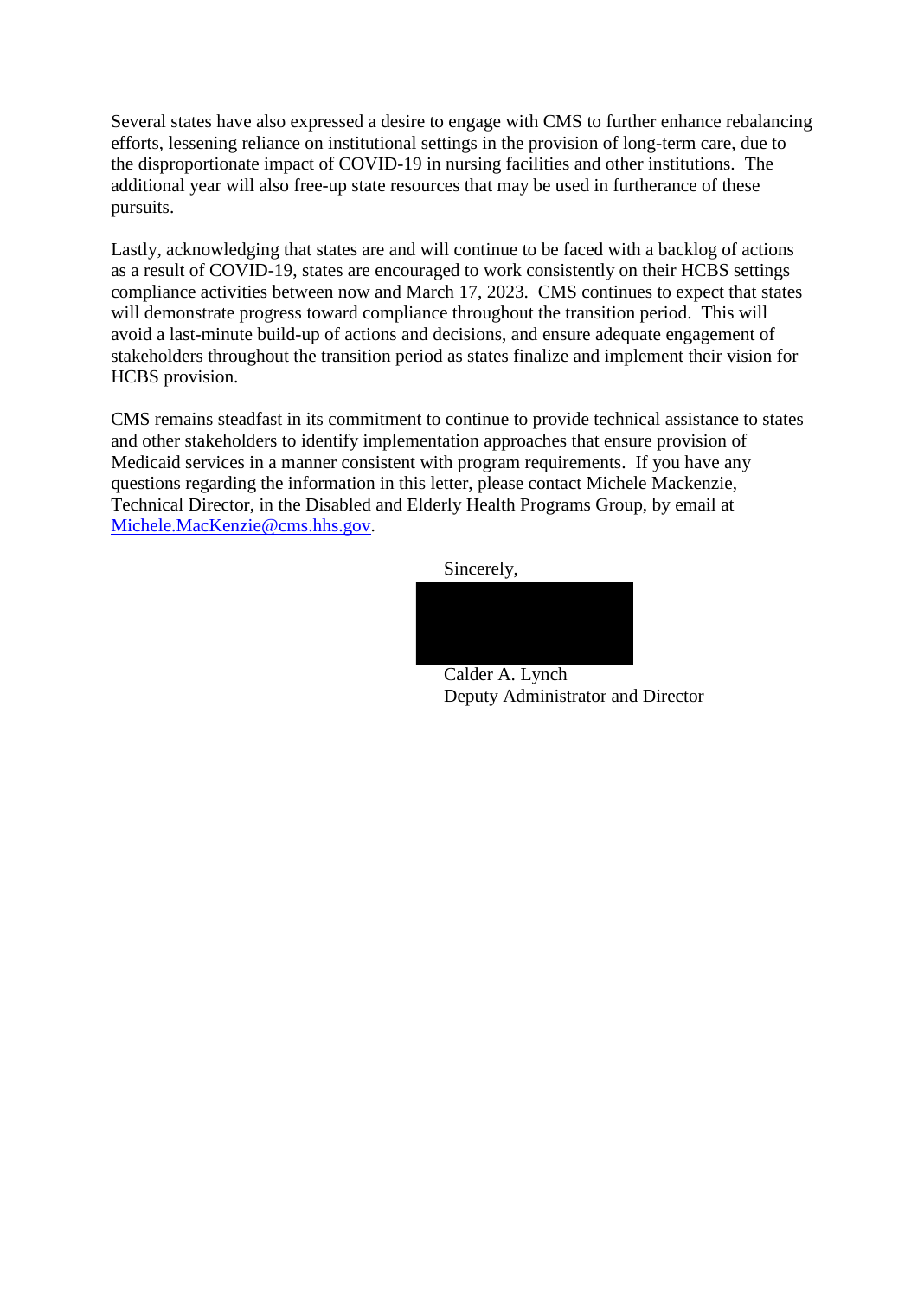Several states have also expressed a desire to engage with CMS to further enhance rebalancing efforts, lessening reliance on institutional settings in the provision of long-term care, due to the disproportionate impact of COVID-19 in nursing facilities and other institutions. The additional year will also free-up state resources that may be used in furtherance of these pursuits.

Lastly, acknowledging that states are and will continue to be faced with a backlog of actions as a result of COVID-19, states are encouraged to work consistently on their HCBS settings compliance activities between now and March 17, 2023. CMS continues to expect that states will demonstrate progress toward compliance throughout the transition period. This will avoid a last-minute build-up of actions and decisions, and ensure adequate engagement of stakeholders throughout the transition period as states finalize and implement their vision for HCBS provision.

CMS remains steadfast in its commitment to continue to provide technical assistance to states and other stakeholders to identify implementation approaches that ensure provision of Medicaid services in a manner consistent with program requirements. If you have any questions regarding the information in this letter, please contact Michele Mackenzie, Technical Director, in the Disabled and Elderly Health Programs Group, by email at [Michele.MacKenzie@cms.hhs.gov.](mailto:Michele.MacKenzie@cms.hhs.gov)

Sincerely,



Calder A. Lynch Deputy Administrator and Director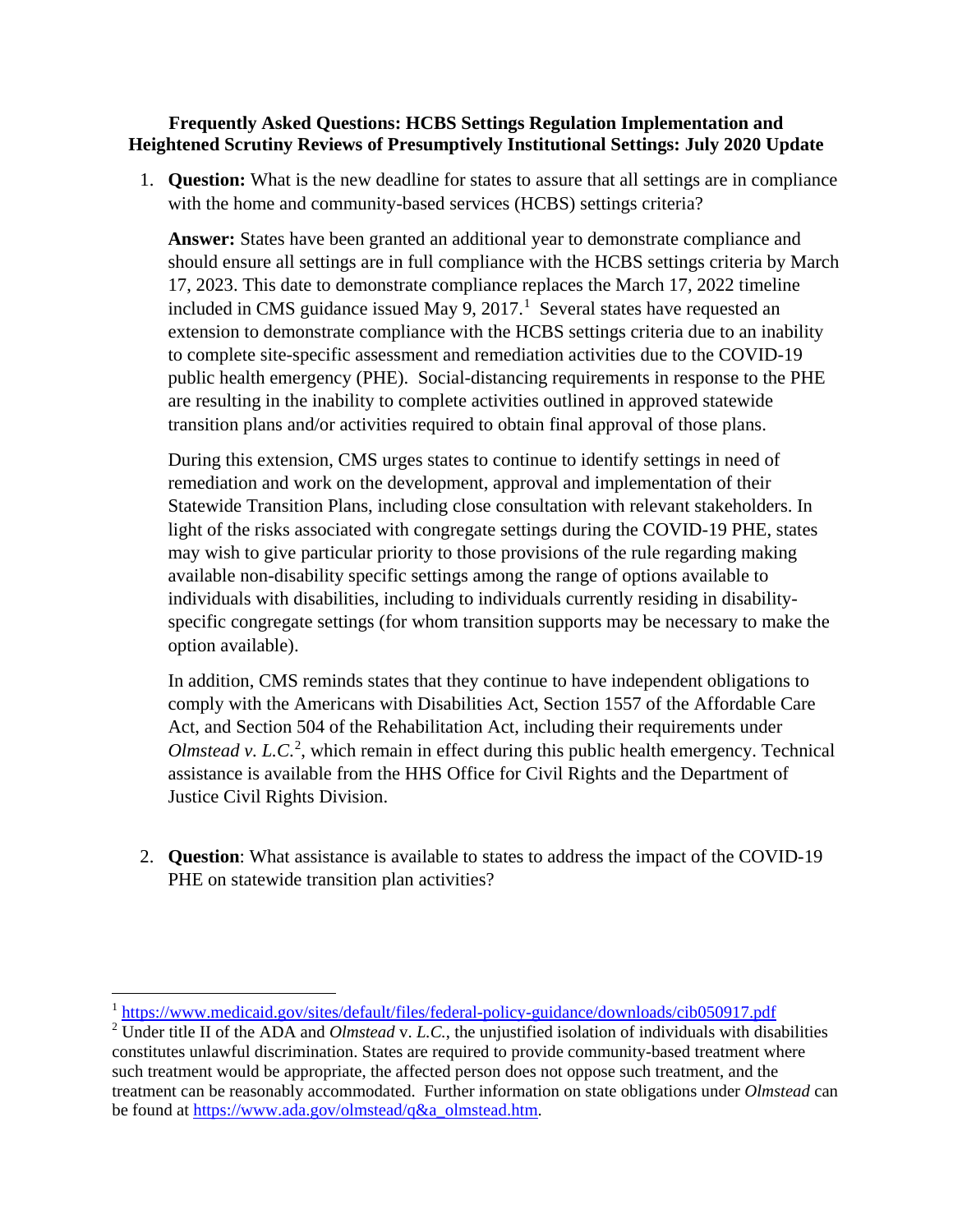## **Frequently Asked Questions: HCBS Settings Regulation Implementation and Heightened Scrutiny Reviews of Presumptively Institutional Settings: July 2020 Update**

1. **Question:** What is the new deadline for states to assure that all settings are in compliance with the home and community-based services (HCBS) settings criteria?

**Answer:** States have been granted an additional year to demonstrate compliance and should ensure all settings are in full compliance with the HCBS settings criteria by March 17, 2023. This date to demonstrate compliance replaces the March 17, 2022 timeline included in CMS guidance issued May 9,  $2017<sup>1</sup>$  $2017<sup>1</sup>$  $2017<sup>1</sup>$  Several states have requested an extension to demonstrate compliance with the HCBS settings criteria due to an inability to complete site-specific assessment and remediation activities due to the COVID-19 public health emergency (PHE).Social-distancing requirements in response to the PHE are resulting in the inability to complete activities outlined in approved statewide transition plans and/or activities required to obtain final approval of those plans.

During this extension, CMS urges states to continue to identify settings in need of remediation and work on the development, approval and implementation of their Statewide Transition Plans, including close consultation with relevant stakeholders. In light of the risks associated with congregate settings during the COVID-19 PHE, states may wish to give particular priority to those provisions of the rule regarding making available non-disability specific settings among the range of options available to individuals with disabilities, including to individuals currently residing in disabilityspecific congregate settings (for whom transition supports may be necessary to make the option available).

In addition, CMS reminds states that they continue to have independent obligations to comply with the Americans with Disabilities Act, Section 1557 of the Affordable Care Act, and Section 504 of the Rehabilitation Act, including their requirements under Olmstead v. L.C.<sup>[2](#page-3-1)</sup>, which remain in effect during this public health emergency. Technical assistance is available from the HHS Office for Civil Rights and the Department of Justice Civil Rights Division.

2. **Question**: What assistance is available to states to address the impact of the COVID-19 PHE on statewide transition plan activities?

 $\overline{\phantom{a}}$ 

<span id="page-3-0"></span><sup>&</sup>lt;sup>1</sup> https://www.medicaid.gov/sites/default/files/federal-policy-guidance/downloads/cib050917.pdf

<span id="page-3-1"></span><sup>2</sup> Under title II of the ADA and *Olmstead* v. *L.C.*, the unjustified isolation of individuals with disabilities constitutes unlawful discrimination. States are required to provide community-based treatment where such treatment would be appropriate, the affected person does not oppose such treatment, and the treatment can be reasonably accommodated. Further information on state obligations under *Olmstead* can be found at [https://www.ada.gov/olmstead/q&a\\_olmstead.htm.](https://www.ada.gov/olmstead/q&a_olmstead.htm)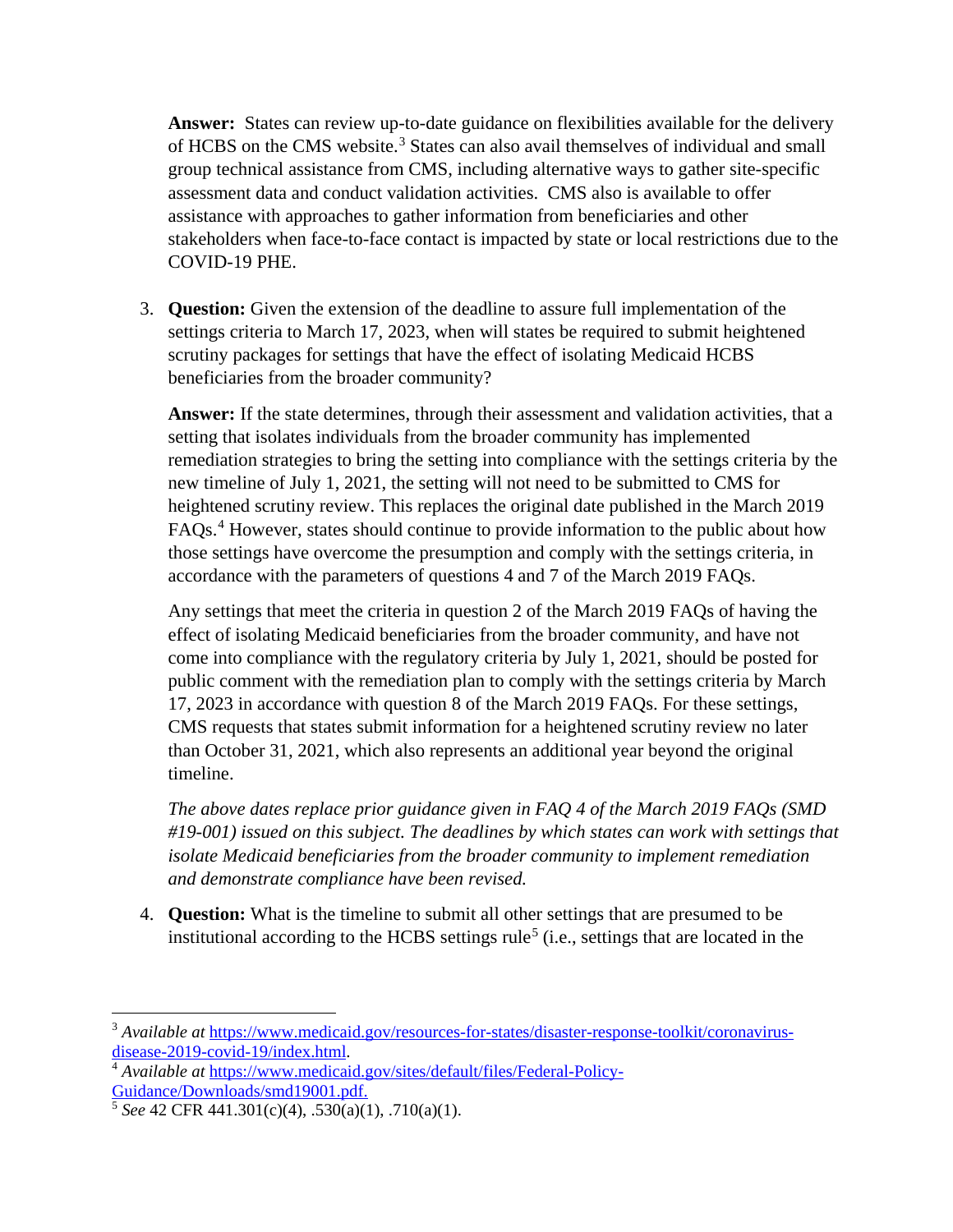**Answer:** States can review up-to-date guidance on flexibilities available for the delivery of HCBS on the CMS website. [3](#page-4-0) States can also avail themselves of individual and small group technical assistance from CMS, including alternative ways to gather site-specific assessment data and conduct validation activities. CMS also is available to offer assistance with approaches to gather information from beneficiaries and other stakeholders when face-to-face contact is impacted by state or local restrictions due to the COVID-19 PHE.

3. **Question:** Given the extension of the deadline to assure full implementation of the settings criteria to March 17, 2023, when will states be required to submit heightened scrutiny packages for settings that have the effect of isolating Medicaid HCBS beneficiaries from the broader community?

**Answer:** If the state determines, through their assessment and validation activities, that a setting that isolates individuals from the broader community has implemented remediation strategies to bring the setting into compliance with the settings criteria by the new timeline of July 1, 2021, the setting will not need to be submitted to CMS for heightened scrutiny review. This replaces the original date published in the March 2019 FAQs. [4](#page-4-1) However, states should continue to provide information to the public about how those settings have overcome the presumption and comply with the settings criteria, in accordance with the parameters of questions 4 and 7 of the March 2019 FAQs.

Any settings that meet the criteria in question 2 of the March 2019 FAQs of having the effect of isolating Medicaid beneficiaries from the broader community, and have not come into compliance with the regulatory criteria by July 1, 2021, should be posted for public comment with the remediation plan to comply with the settings criteria by March 17, 2023 in accordance with question 8 of the March 2019 FAQs. For these settings, CMS requests that states submit information for a heightened scrutiny review no later than October 31, 2021, which also represents an additional year beyond the original timeline.

*The above dates replace prior guidance given in FAQ 4 of the March 2019 FAQs (SMD #19-001) issued on this subject. The deadlines by which states can work with settings that isolate Medicaid beneficiaries from the broader community to implement remediation and demonstrate compliance have been revised.* 

4. **Question:** What is the timeline to submit all other settings that are presumed to be institutional according to the HCBS settings rule<sup>[5](#page-4-2)</sup> (i.e., settings that are located in the

 $\overline{\phantom{a}}$ 

<span id="page-4-0"></span><sup>&</sup>lt;sup>3</sup> Available at [https://www.medicaid.gov/resources-for-states/disaster-response-toolkit/coronavirus](https://www.medicaid.gov/resources-for-states/disaster-response-toolkit/coronavirus-disease-2019-covid-19/index.html)[disease-2019-covid-19/index.html.](https://www.medicaid.gov/resources-for-states/disaster-response-toolkit/coronavirus-disease-2019-covid-19/index.html)

<span id="page-4-1"></span><sup>4</sup> *Available at* [https://www.medicaid.gov/sites/default/files/Federal-Policy-](https://www.medicaid.gov/sites/default/files/Federal-Policy-Guidance/Downloads/smd19001.pdf)[Guidance/Downloads/smd19001.pdf.](https://www.medicaid.gov/sites/default/files/Federal-Policy-Guidance/Downloads/smd19001.pdf)

<span id="page-4-2"></span><sup>5</sup> *See* 42 CFR 441.301(c)(4), .530(a)(1), .710(a)(1).